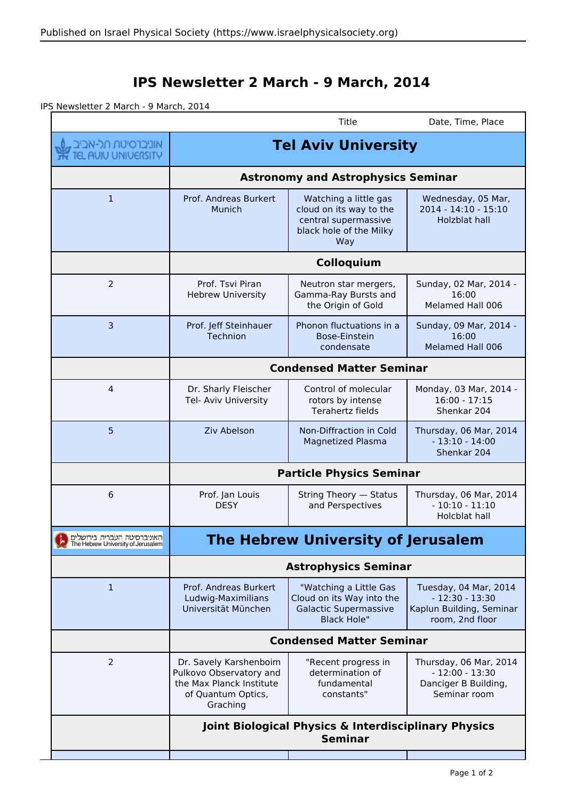## **IPS Newsletter 2 March - 9 March, 2014**

IPS Newsletter 2 March - 9 March, 2014

|                                                                   |                                                                                                                 | Title                                                                                                      | Date, Time, Place                                                                        |
|-------------------------------------------------------------------|-----------------------------------------------------------------------------------------------------------------|------------------------------------------------------------------------------------------------------------|------------------------------------------------------------------------------------------|
| , אוניברסיטת תל-אביב<br>TieL AUIU UNIUERSITY                      | <b>Tel Aviv University</b>                                                                                      |                                                                                                            |                                                                                          |
|                                                                   | <b>Astronomy and Astrophysics Seminar</b>                                                                       |                                                                                                            |                                                                                          |
| $\mathbf{1}$                                                      | Prof. Andreas Burkert<br>Munich                                                                                 | Watching a little gas<br>cloud on its way to the<br>central supermassive<br>black hole of the Milky<br>Way | Wednesday, 05 Mar,<br>2014 - 14:10 - 15:10<br>Holzblat hall                              |
|                                                                   | Colloquium                                                                                                      |                                                                                                            |                                                                                          |
| 2                                                                 | Prof. Tsvi Piran<br><b>Hebrew University</b>                                                                    | Neutron star mergers,<br>Gamma-Ray Bursts and<br>the Origin of Gold                                        | Sunday, 02 Mar, 2014 -<br>16:00<br>Melamed Hall 006                                      |
| $\overline{3}$                                                    | Prof. Jeff Steinhauer<br>Technion                                                                               | Phonon fluctuations in a<br>Bose-Einstein<br>condensate                                                    | Sunday, 09 Mar, 2014 -<br>16:00<br>Melamed Hall 006                                      |
|                                                                   | <b>Condensed Matter Seminar</b>                                                                                 |                                                                                                            |                                                                                          |
| 4                                                                 | Dr. Sharly Fleischer<br>Tel- Aviv University                                                                    | Control of molecular<br>rotors by intense<br>Terahertz fields                                              | Monday, 03 Mar, 2014 -<br>$16:00 - 17:15$<br>Shenkar 204                                 |
| 5                                                                 | Ziv Abelson                                                                                                     | Non-Diffraction in Cold<br><b>Magnetized Plasma</b>                                                        | Thursday, 06 Mar, 2014<br>$-13:10 - 14:00$<br>Shenkar 204                                |
|                                                                   | <b>Particle Physics Seminar</b>                                                                                 |                                                                                                            |                                                                                          |
| 6                                                                 | Prof. Jan Louis<br><b>DESY</b>                                                                                  | String Theory - Status<br>and Perspectives                                                                 | Thursday, 06 Mar, 2014<br>$-10:10 - 11:10$<br>Holcblat hall                              |
| האוניברסיטה העברית בירושלים<br>The Hebrew University of Jerusalem | <b>The Hebrew University of Jerusalem</b>                                                                       |                                                                                                            |                                                                                          |
|                                                                   | <b>Astrophysics Seminar</b>                                                                                     |                                                                                                            |                                                                                          |
| $\mathbf{1}$                                                      | Prof. Andreas Burkert<br>Ludwig-Maximilians<br>Universität München                                              | "Watching a Little Gas<br>Cloud on its Way into the<br><b>Galactic Supermassive</b><br><b>Black Hole"</b>  | Tuesday, 04 Mar, 2014<br>$-12:30 - 13:30$<br>Kaplun Building, Seminar<br>room, 2nd floor |
|                                                                   | <b>Condensed Matter Seminar</b>                                                                                 |                                                                                                            |                                                                                          |
| 2                                                                 | Dr. Savely Karshenboim<br>Pulkovo Observatory and<br>the Max Planck Institute<br>of Quantum Optics,<br>Graching | "Recent progress in<br>determination of<br>fundamental<br>constants"                                       | Thursday, 06 Mar, 2014<br>$-12:00 - 13:30$<br>Danciger B Building,<br>Seminar room       |
|                                                                   | Joint Biological Physics & Interdisciplinary Physics<br><b>Seminar</b>                                          |                                                                                                            |                                                                                          |
|                                                                   |                                                                                                                 |                                                                                                            |                                                                                          |